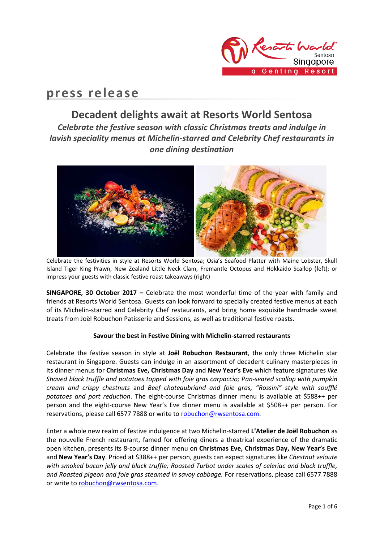

# **press release**

## **Decadent delights await at Resorts World Sentosa**

*Celebrate the festive season with classic Christmas treats and indulge in lavish speciality menus at Michelin-starred and Celebrity Chef restaurants in one dining destination* 



Celebrate the festivities in style at Resorts World Sentosa; Osia's Seafood Platter with Maine Lobster, Skull Island Tiger King Prawn, New Zealand Little Neck Clam, Fremantle Octopus and Hokkaido Scallop (left); or impress your guests with classic festive roast takeaways (right)

**SINGAPORE, 30 October 2017 –** Celebrate the most wonderful time of the year with family and friends at Resorts World Sentosa. Guests can look forward to specially created festive menus at each of its Michelin-starred and Celebrity Chef restaurants, and bring home exquisite handmade sweet treats from Joël Robuchon Patisserie and Sessions, as well as traditional festive roasts.

## **Savour the best in Festive Dining with Michelin-starred restaurants**

Celebrate the festive season in style at **Joël Robuchon Restaurant**, the only three Michelin star restaurant in Singapore. Guests can indulge in an assortment of decadent culinary masterpieces in its dinner menus for **Christmas Eve, Christmas Day** and **New Year's Eve** which feature signatures *like Shaved black truffle and potatoes topped with foie gras carpaccio; Pan-seared scallop with pumpkin cream and crispy chestnuts* and *Beef chateaubriand and foie gras, "Rossini" style with soufflé potatoes and port reduction*. The eight-course Christmas dinner menu is available at \$588++ per person and the eight-course New Year's Eve dinner menu is available at \$508++ per person. For reservations, please call 6577 7888 or write to [robuchon@rwsentosa.com.](mailto:robuchon@rwsentosa.com)

Enter a whole new realm of festive indulgence at two Michelin-starred **L'Atelier de Joël Robuchon** as the nouvelle French restaurant, famed for offering diners a theatrical experience of the dramatic open kitchen, presents its 8-course dinner menu on **Christmas Eve, Christmas Day, New Year's Eve**  and **New Year's Day**. Priced at \$388++ per person, guests can expect signatures like *Chestnut veloute with smoked bacon jelly and black truffle; Roasted Turbot under scales of celeriac and black truffle, and Roasted pigeon and foie gras steamed in savoy cabbage.* For reservations, please call 6577 7888 or write to [robuchon@rwsentosa.com.](mailto:robuchon@rwsentosa.com)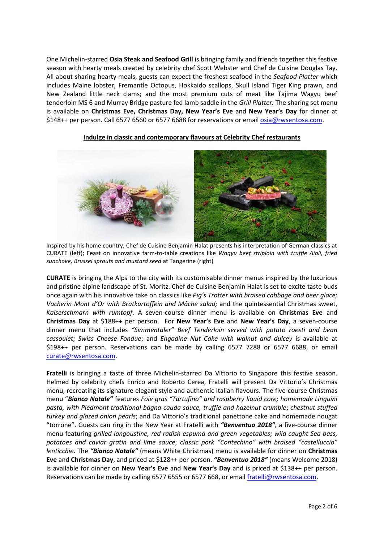One Michelin-starred **Osia Steak and Seafood Grill** is bringing family and friends together this festive season with hearty meals created by celebrity chef Scott Webster and Chef de Cuisine Douglas Tay. All about sharing hearty meals, guests can expect the freshest seafood in the *Seafood Platter* which includes Maine lobster, Fremantle Octopus, Hokkaido scallops, Skull Island Tiger King prawn, and New Zealand little neck clams; and the most premium cuts of meat like Tajima Wagyu beef tenderloin MS 6 and Murray Bridge pasture fed lamb saddle in the *Grill Platter.* The sharing set menu is available on **Christmas Eve, Christmas Day, New Year's Eve** and **New Year's Day** for dinner at \$148++ per person. Call 6577 6560 or 6577 6688 for reservations or email [osia@rwsentosa.com.](mailto:osia@rwsentosa.com)



## **Indulge in classic and contemporary flavours at Celebrity Chef restaurants**

Inspired by his home country, Chef de Cuisine Benjamin Halat presents his interpretation of German classics at CURATE (left); Feast on innovative farm-to-table creations like *Wagyu beef striploin with truffle Aioli, fried sunchoke, Brussel sprouts and mustard seed* at Tangerine (right)

**CURATE** is bringing the Alps to the city with its customisable dinner menus inspired by the luxurious and pristine alpine landscape of St. Moritz. Chef de Cuisine Benjamin Halat is set to excite taste buds once again with his innovative take on classics like *Pig's Trotter with braised cabbage and beer glace; Vacherin Mont d'Or with Bratkartoffein and Mâche salad;* and the quintessential Christmas sweet, *Kaiserschmarn with rumtopf*. A seven-course dinner menu is available on **Christmas Eve** and **Christmas Day** at \$188++ per person. For **New Year's Eve** and **New Year's Day**, a seven-course dinner menu that includes *"Simmentaler" Beef Tenderloin served with potato roesti and bean cassoulet; Swiss Cheese Fondue*; and *Engadine Nut Cake with walnut and dulcey* is available at \$198++ per person. Reservations can be made by calling 6577 7288 or 6577 6688, or email [curate@rwsentosa.com.](mailto:curate@rwsentosa.com)

**Fratelli** is bringing a taste of three Michelin-starred Da Vittorio to Singapore this festive season. Helmed by celebrity chefs Enrico and Roberto Cerea, Fratelli will present Da Vittorio's Christmas menu, recreating its signature elegant style and authentic Italian flavours. The five-course Christmas menu "*Bianco Natale"* features *Foie gras "Tartufino" and raspberry liquid core; homemade Linguini pasta, with Piedmont traditional bagna cauda sauce, truffle and hazelnut crumble*; *chestnut stuffed turkey and glazed onion pearls*; and Da Vittorio's traditional panettone cake and homemade nougat "torrone". Guests can ring in the New Year at Fratelli with *"Benventuo 2018",* a five-course dinner menu featuring *grilled langoustine, red radish espuma and green vegetables; wild caught Sea bass, potatoes and caviar gratin and lime sauce*; *classic pork "Contechino" with braised "castelluccio" lenticchie*. The *"Bianco Natale"* (means White Christmas) menu is available for dinner on **Christmas Eve** and **Christmas Day**, and priced at \$128++ per person. *"Benventuo 2018"* (means Welcome 2018) is available for dinner on **New Year's Eve** and **New Year's Day** and is priced at \$138++ per person. Reservations can be made by calling 6577 6555 or 6577 668, or emai[l fratelli@rwsentosa.com.](mailto:fratelli@rwsentosa.com)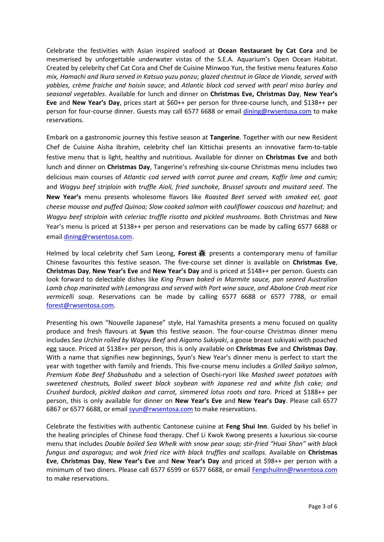Celebrate the festivities with Asian inspired seafood at **Ocean Restaurant by Cat Cora** and be mesmerised by unforgettable underwater vistas of the S.E.A. Aquarium's Open Ocean Habitat. Created by celebrity chef Cat Cora and Chef de Cuisine Minwoo Yun, the festive menu features *Kaiso mix, Hamachi and Ikura served in Katsuo yuzu ponzu*; *glazed chestnut in Glace de Viande, served with yabbies, crème fraiche and hoisin sauce*; and *Atlantic black cod served with pearl miso barley and seasonal vegetables*. Available for lunch and dinner on **Christmas Eve, Christmas Day**, **New Year's Eve** and **New Year's Day**, prices start at \$60++ per person for three-course lunch, and \$138++ per person for four-course dinner. Guests may call 6577 6688 or email [dining@rwsentosa.com](mailto:dining@rwsentosa.com) to make reservations.

Embark on a gastronomic journey this festive season at **Tangerine**. Together with our new Resident Chef de Cuisine Aisha Ibrahim, celebrity chef Ian Kittichai presents an innovative farm-to-table festive menu that is light, healthy and nutritious. Available for dinner on **Christmas Eve** and both lunch and dinner on **Christmas Day**, Tangerine's refreshing six-course Christmas menu includes two delicious main courses of *Atlantic cod served with carrot puree and cream, Kaffir lime and cumin;*  and *Wagyu beef striploin with truffle Aioli, fried sunchoke, Brussel sprouts and mustard seed*. The **New Year's** menu presents wholesome flavors like *Roasted Beet served with smoked eel, goat cheese mousse and puffed Quinoa; Slow cooked salmon with cauliflower couscous and hazelnut;* and *Wagyu beef striploin with celeriac truffle risotto and pickled mushrooms.* Both Christmas and New Year's menu is priced at \$138++ per person and reservations can be made by calling 6577 6688 or email [dining@rwsentosa.com.](mailto:dining@rwsentosa.com)

Helmed by local celebrity chef Sam Leong, **Forest** 森 presents a contemporary menu of familiar Chinese favourites this festive season. The five-course set dinner is available on **Christmas Eve**, **Christmas Day**, **New Year's Eve** and **New Year's Day** and is priced at \$148++ per person. Guests can look forward to delectable dishes like *King Prawn baked in Marmite sauce, pan seared Australian Lamb chop marinated with Lemongrass and served with Port wine sauce, and Abalone Crab meat rice vermicelli soup*. Reservations can be made by calling 6577 6688 or 6577 7788, or email [forest@rwsentosa.com.](mailto:forest@rwsentosa.com)

Presenting his own "Nouvelle Japanese" style, Hal Yamashita presents a menu focused on quality produce and fresh flavours at **Syun** this festive season. The four-course Christmas dinner menu includes *Sea Urchin rolled by Wagyu Beef* and *Aigamo Sukiyaki*, a goose breast sukiyaki with poached egg sauce. Priced at \$138++ per person, this is only available on **Christmas Eve** and **Christmas Day**. With a name that signifies new beginnings, Syun's New Year's dinner menu is perfect to start the year with together with family and friends. This five-course menu includes a *Grilled Saikyo salmon*, *Premium Kobe Beef Shabushabu* and a selection of Osechi-ryori like *Mashed sweet potatoes with sweetened chestnuts, Boiled sweet black soybean with Japanese red and white fish cake; and Crushed burdock, pickled daikon and carrot, simmered lotus roots and taro.* Priced at \$188++ per person, this is only available for dinner on **New Year's Eve** and **New Year's Day**. Please call 6577 6867 or 6577 6688, or email [syun@rwsentosa.com](mailto:syun@rwsentosa.com) to make reservations.

Celebrate the festivities with authentic Cantonese cuisine at **Feng Shui Inn**. Guided by his belief in the healing principles of Chinese food therapy. Chef Li Kwok Kwong presents a luxurious six-course menu that includes *Double boiled Sea Whelk with snow pear soup; stir-fried "Huai Shan" with black fungus and asparagus; and wok fried rice with black truffles and scallops.* Available on **Christmas Eve**, **Christmas Day**, **New Year's Eve** and **New Year's Day** and priced at \$98++ per person with a minimum of two diners. Please call 6577 6599 or 6577 6688, or email [FengshuiInn@rwsentosa.com](mailto:FengshuiInn@rwsentosa.com) to make reservations.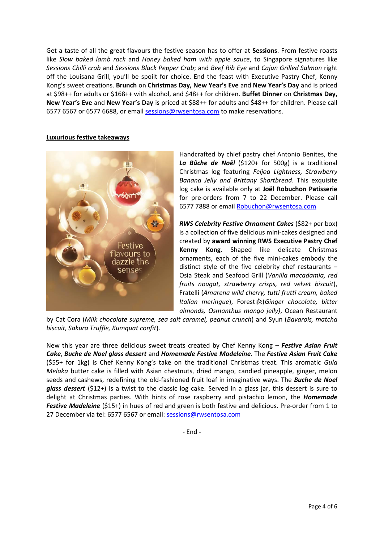Get a taste of all the great flavours the festive season has to offer at **Sessions**. From festive roasts like *Slow baked lamb rack* and *Honey baked ham with apple sauce*, to Singapore signatures like *Sessions Chilli crab* and *Sessions Black Pepper Crab*; and *Beef Rib Eye* and *Cajun Grilled Salmon* right off the Louisana Grill, you'll be spoilt for choice. End the feast with Executive Pastry Chef, Kenny Kong's sweet creations. **Brunch** on **Christmas Day, New Year's Eve** and **New Year's Day** and is priced at \$98++ for adults or \$168++ with alcohol, and \$48++ for children. **Buffet Dinner** on **Christmas Day, New Year's Eve** and **New Year's Day** is priced at \$88++ for adults and \$48++ for children. Please call 6577 6567 or 6577 6688, or email [sessions@rwsentosa.com](mailto:sessions@rwsentosa.com) to make reservations.

## **Luxurious festive takeaways**



Handcrafted by chief pastry chef Antonio Benites, the *La Bûche de Noël* (\$120+ for 500g) is a traditional Christmas log featuring *Feijoa Lightness, Strawberry Banana Jelly and Brittany Shortbread*. This exquisite log cake is available only at **Joël Robuchon Patisserie**  for pre-orders from 7 to 22 December. Please call 6577 7888 or email [Robuchon@rwsentosa.com](mailto:Robuchon@rwsentosa.com)

*RWS Celebrity Festive Ornament Cakes* (\$82+ per box) is a collection of five delicious mini-cakes designed and created by **award winning RWS Executive Pastry Chef Kenny Kong**. Shaped like delicate Christmas ornaments, each of the five mini-cakes embody the distinct style of the five celebrity chef restaurants – Osia Steak and Seafood Grill (*Vanilla macadamia, red fruits nougat, strawberry crisps, red velvet biscuit*), Fratelli (*Amarena wild cherry, tutti frutti cream, baked Italian meringue*), Forest森(*Ginger chocolate, bitter almonds, Osmanthus mango jelly)*, Ocean Restaurant

by Cat Cora (*Milk chocolate supreme, sea salt caramel, peanut crunch*) and Syun (*Bavarois, matcha biscuit, Sakura Truffle, Kumquat confit*).

New this year are three delicious sweet treats created by Chef Kenny Kong – *Festive Asian Fruit Cake*, *Buche de Noel glass dessert* and *Homemade Festive Madeleine*. The *Festive Asian Fruit Cake*  (\$55+ for 1kg) is Chef Kenny Kong's take on the traditional Christmas treat. This aromatic *Gula Melaka* butter cake is filled with Asian chestnuts, dried mango, candied pineapple, ginger, melon seeds and cashews, redefining the old-fashioned fruit loaf in imaginative ways. The *Buche de Noel glass dessert* (\$12+) is a twist to the classic log cake. Served in a glass jar, this dessert is sure to delight at Christmas parties. With hints of rose raspberry and pistachio lemon, the *Homemade*  **Festive Madeleine** (\$15+) in hues of red and green is both festive and delicious. Pre-order from 1 to 27 December via tel: 6577 6567 or email[: sessions@rwsentosa.com](mailto:sessions@rwsentosa.com)

- End -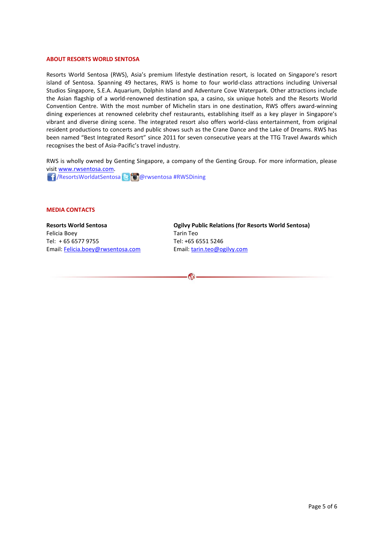#### **ABOUT RESORTS WORLD SENTOSA**

Resorts World Sentosa (RWS), Asia's premium lifestyle destination resort, is located on Singapore's resort island of Sentosa. Spanning 49 hectares, RWS is home to four world-class attractions including Universal Studios Singapore, S.E.A. Aquarium, Dolphin Island and Adventure Cove Waterpark. Other attractions include the Asian flagship of a world-renowned destination spa, a casino, six unique hotels and the Resorts World Convention Centre. With the most number of Michelin stars in one destination, RWS offers award-winning dining experiences at renowned celebrity chef restaurants, establishing itself as a key player in Singapore's vibrant and diverse dining scene. The integrated resort also offers world-class entertainment, from original resident productions to concerts and public shows such as the Crane Dance and the Lake of Dreams. RWS has been named "Best Integrated Resort" since 2011 for seven consecutive years at the TTG Travel Awards which recognises the best of Asia-Pacific's travel industry.

RWS is wholly owned by Genting Singapore, a company of the Genting Group. For more information, please visi[t www.rwsentosa.com.](http://www.rwsentosa.com/)

**1 / ResortsWorldatSentosa & CO**rwsentosa #RWSDining

#### **MEDIA CONTACTS**

## **Resorts World Sentosa** Felicia Boey Tel: + 65 6577 9755 Email: [Felicia.boey@rwsentosa.com](mailto:Felicia.boey@rwsentosa.com)

**Ogilvy Public Relations (for Resorts World Sentosa)** Tarin Teo Tel: +65 6551 5246 Email[: tarin.teo@ogilvy.com](mailto:tarin.teo@ogilvy.com)

 $\mathbf{G}$